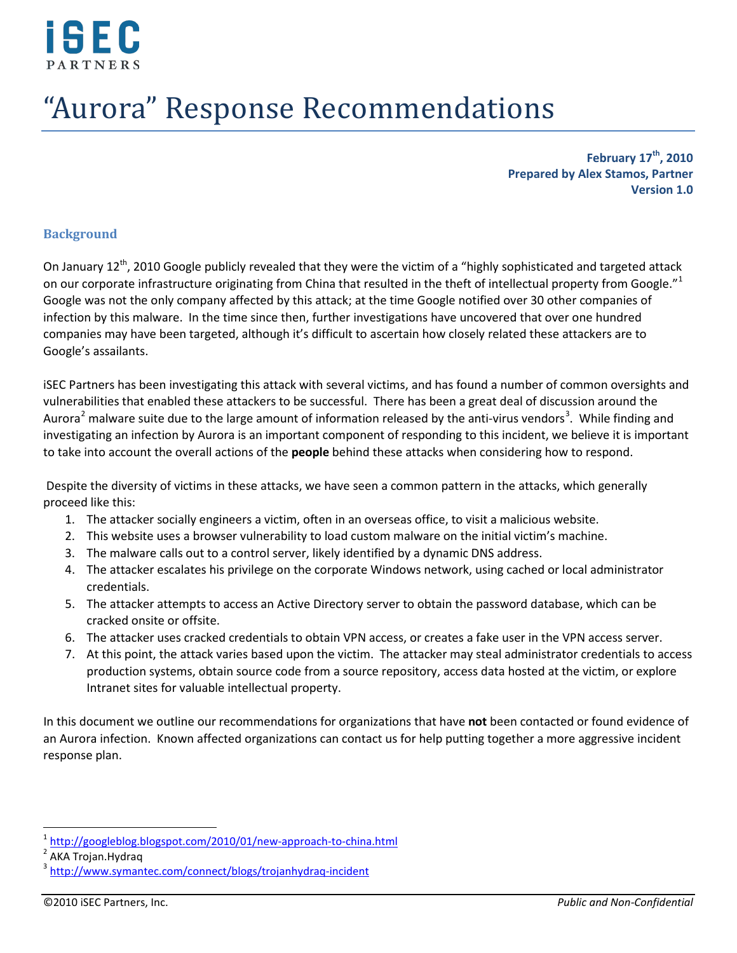

# "Aurora" Response Recommendations

**February 17th, 2010 Prepared by Alex Stamos, Partner Version 1.0**

#### **Background**

On January 12<sup>th</sup>, 2010 Google publicly revealed that they were the victim of a "highly sophisticated and targeted attack on our corporate infrastructure originating from China that resulted in the theft of intellectual property from Google."<sup>[1](#page-0-0)</sup> Google was not the only company affected by this attack; at the time Google notified over 30 other companies of infection by this malware. In the time since then, further investigations have uncovered that over one hundred companies may have been targeted, although it's difficult to ascertain how closely related these attackers are to Google's assailants.

iSEC Partners has been investigating this attack with several victims, and has found a number of common oversights and vulnerabilities that enabled these attackers to be successful. There has been a great deal of discussion around the Aurora<sup>[2](#page-0-1)</sup> malware suite due to the large amount of information released by the anti-virus vendors<sup>[3](#page-0-2)</sup>. While finding and investigating an infection by Aurora is an important component of responding to this incident, we believe it is important to take into account the overall actions of the **people** behind these attacks when considering how to respond.

Despite the diversity of victims in these attacks, we have seen a common pattern in the attacks, which generally proceed like this:

- 1. The attacker socially engineers a victim, often in an overseas office, to visit a malicious website.
- 2. This website uses a browser vulnerability to load custom malware on the initial victim's machine.
- 3. The malware calls out to a control server, likely identified by a dynamic DNS address.
- 4. The attacker escalates his privilege on the corporate Windows network, using cached or local administrator credentials.
- 5. The attacker attempts to access an Active Directory server to obtain the password database, which can be cracked onsite or offsite.
- 6. The attacker uses cracked credentials to obtain VPN access, or creates a fake user in the VPN access server.
- 7. At this point, the attack varies based upon the victim. The attacker may steal administrator credentials to access production systems, obtain source code from a source repository, access data hosted at the victim, or explore Intranet sites for valuable intellectual property.

In this document we outline our recommendations for organizations that have **not** been contacted or found evidence of an Aurora infection. Known affected organizations can contact us for help putting together a more aggressive incident response plan.

<span id="page-0-0"></span><sup>&</sup>lt;sup>1</sup> <http://googleblog.blogspot.com/2010/01/new-approach-to-china.html><br><sup>2</sup> AKA Trojan.Hydraq<br><sup>3</sup> <http://www.symantec.com/connect/blogs/trojanhydraq-incident>

<span id="page-0-1"></span>

<span id="page-0-2"></span>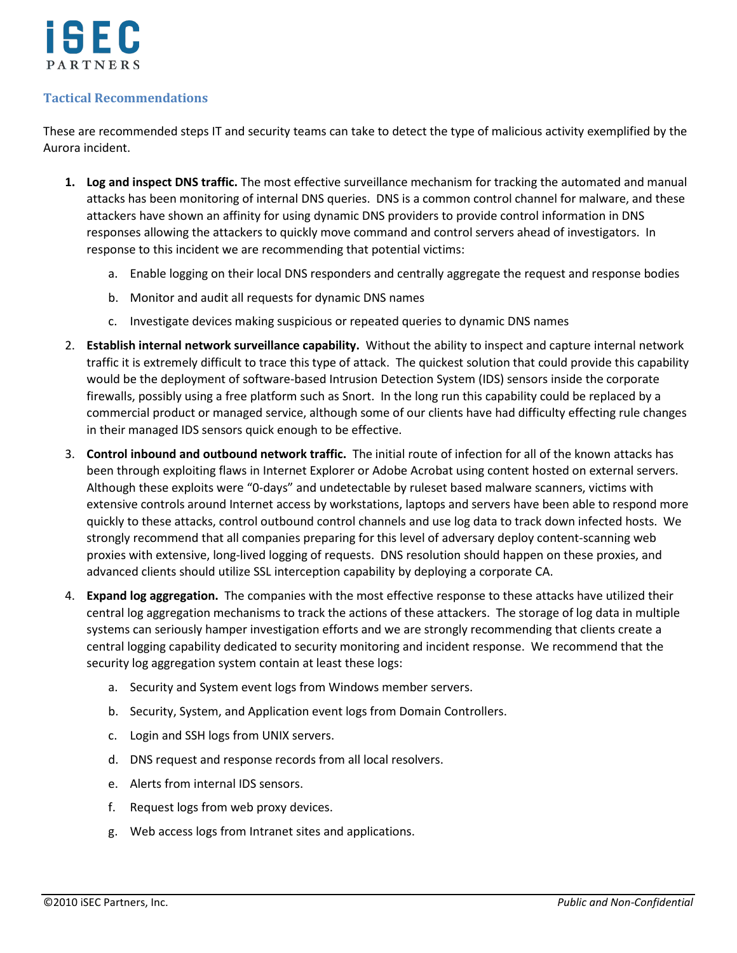

## **Tactical Recommendations**

These are recommended steps IT and security teams can take to detect the type of malicious activity exemplified by the Aurora incident.

- **1. Log and inspect DNS traffic.** The most effective surveillance mechanism for tracking the automated and manual attacks has been monitoring of internal DNS queries. DNS is a common control channel for malware, and these attackers have shown an affinity for using dynamic DNS providers to provide control information in DNS responses allowing the attackers to quickly move command and control servers ahead of investigators. In response to this incident we are recommending that potential victims:
	- a. Enable logging on their local DNS responders and centrally aggregate the request and response bodies
	- b. Monitor and audit all requests for dynamic DNS names
	- c. Investigate devices making suspicious or repeated queries to dynamic DNS names
- 2. **Establish internal network surveillance capability.** Without the ability to inspect and capture internal network traffic it is extremely difficult to trace this type of attack. The quickest solution that could provide this capability would be the deployment of software-based Intrusion Detection System (IDS) sensors inside the corporate firewalls, possibly using a free platform such as Snort. In the long run this capability could be replaced by a commercial product or managed service, although some of our clients have had difficulty effecting rule changes in their managed IDS sensors quick enough to be effective.
- 3. **Control inbound and outbound network traffic.** The initial route of infection for all of the known attacks has been through exploiting flaws in Internet Explorer or Adobe Acrobat using content hosted on external servers. Although these exploits were "0-days" and undetectable by ruleset based malware scanners, victims with extensive controls around Internet access by workstations, laptops and servers have been able to respond more quickly to these attacks, control outbound control channels and use log data to track down infected hosts. We strongly recommend that all companies preparing for this level of adversary deploy content-scanning web proxies with extensive, long-lived logging of requests. DNS resolution should happen on these proxies, and advanced clients should utilize SSL interception capability by deploying a corporate CA.
- 4. **Expand log aggregation.** The companies with the most effective response to these attacks have utilized their central log aggregation mechanisms to track the actions of these attackers. The storage of log data in multiple systems can seriously hamper investigation efforts and we are strongly recommending that clients create a central logging capability dedicated to security monitoring and incident response. We recommend that the security log aggregation system contain at least these logs:
	- a. Security and System event logs from Windows member servers.
	- b. Security, System, and Application event logs from Domain Controllers.
	- c. Login and SSH logs from UNIX servers.
	- d. DNS request and response records from all local resolvers.
	- e. Alerts from internal IDS sensors.
	- f. Request logs from web proxy devices.
	- g. Web access logs from Intranet sites and applications.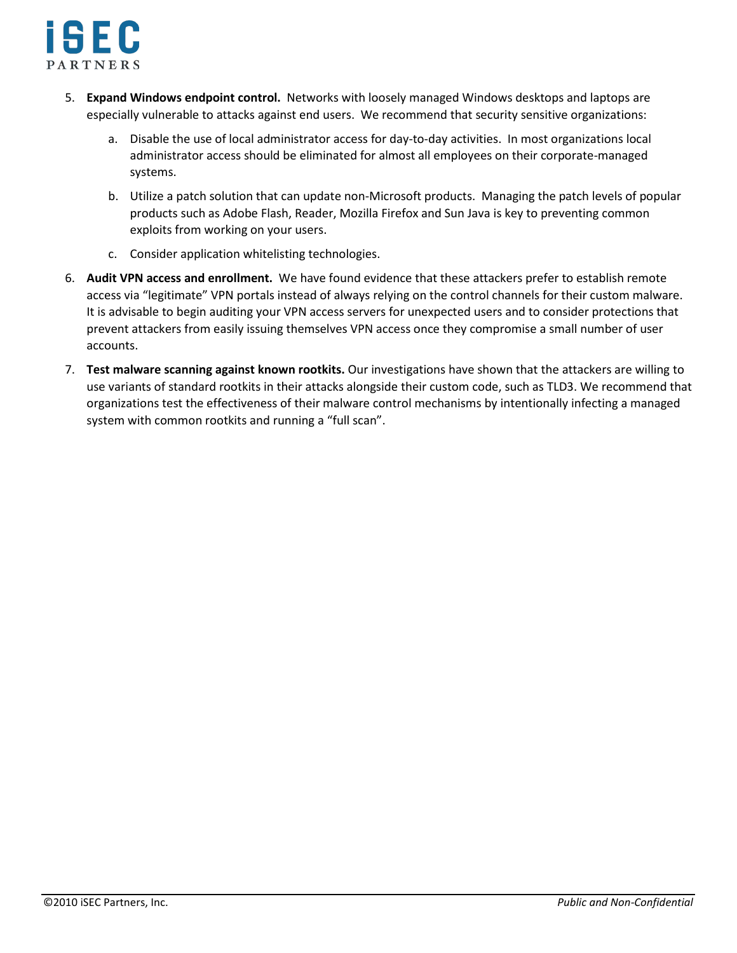

- 5. **Expand Windows endpoint control.** Networks with loosely managed Windows desktops and laptops are especially vulnerable to attacks against end users. We recommend that security sensitive organizations:
	- a. Disable the use of local administrator access for day-to-day activities. In most organizations local administrator access should be eliminated for almost all employees on their corporate-managed systems.
	- b. Utilize a patch solution that can update non-Microsoft products. Managing the patch levels of popular products such as Adobe Flash, Reader, Mozilla Firefox and Sun Java is key to preventing common exploits from working on your users.
	- c. Consider application whitelisting technologies.
- 6. **Audit VPN access and enrollment.** We have found evidence that these attackers prefer to establish remote access via "legitimate" VPN portals instead of always relying on the control channels for their custom malware. It is advisable to begin auditing your VPN access servers for unexpected users and to consider protections that prevent attackers from easily issuing themselves VPN access once they compromise a small number of user accounts.
- 7. **Test malware scanning against known rootkits.** Our investigations have shown that the attackers are willing to use variants of standard rootkits in their attacks alongside their custom code, such as TLD3. We recommend that organizations test the effectiveness of their malware control mechanisms by intentionally infecting a managed system with common rootkits and running a "full scan".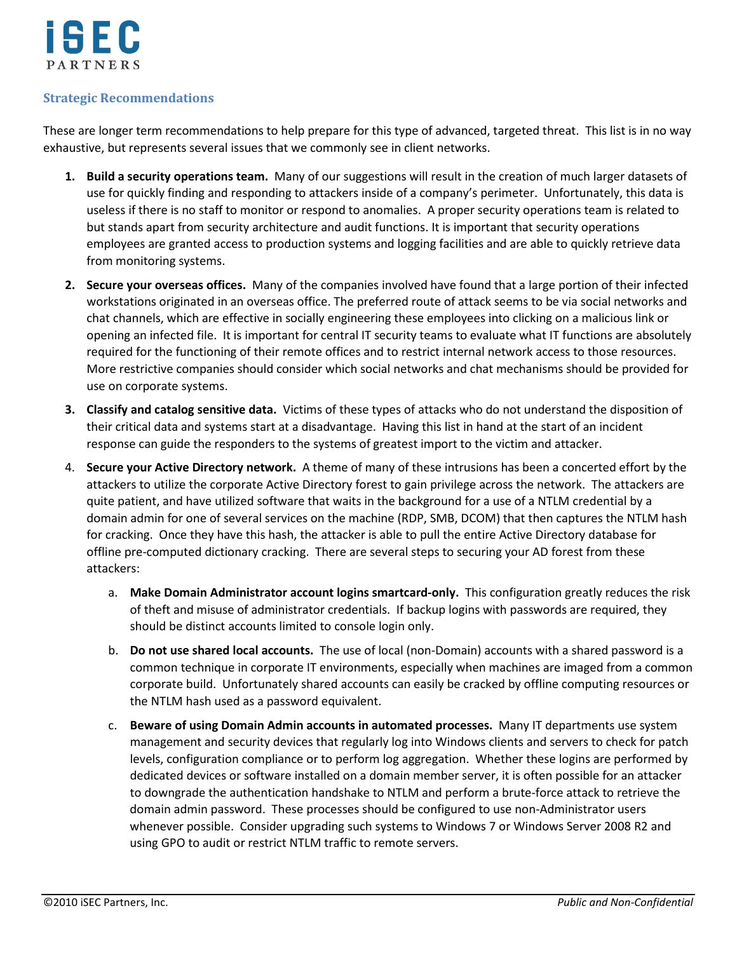

## **Strategic Recommendations**

These are longer term recommendations to help prepare for this type of advanced, targeted threat. This list is in no way exhaustive, but represents several issues that we commonly see in client networks.

- **1. Build a security operations team.** Many of our suggestions will result in the creation of much larger datasets of use for quickly finding and responding to attackers inside of a company's perimeter. Unfortunately, this data is useless if there is no staff to monitor or respond to anomalies. A proper security operations team is related to but stands apart from security architecture and audit functions. It is important that security operations employees are granted access to production systems and logging facilities and are able to quickly retrieve data from monitoring systems.
- **2. Secure your overseas offices.** Many of the companies involved have found that a large portion of their infected workstations originated in an overseas office. The preferred route of attack seems to be via social networks and chat channels, which are effective in socially engineering these employees into clicking on a malicious link or opening an infected file. It is important for central IT security teams to evaluate what IT functions are absolutely required for the functioning of their remote offices and to restrict internal network access to those resources. More restrictive companies should consider which social networks and chat mechanisms should be provided for use on corporate systems.
- **3. Classify and catalog sensitive data.** Victims of these types of attacks who do not understand the disposition of their critical data and systems start at a disadvantage. Having this list in hand at the start of an incident response can guide the responders to the systems of greatest import to the victim and attacker.
- 4. **Secure your Active Directory network.** A theme of many of these intrusions has been a concerted effort by the attackers to utilize the corporate Active Directory forest to gain privilege across the network. The attackers are quite patient, and have utilized software that waits in the background for a use of a NTLM credential by a domain admin for one of several services on the machine (RDP, SMB, DCOM) that then captures the NTLM hash for cracking. Once they have this hash, the attacker is able to pull the entire Active Directory database for offline pre-computed dictionary cracking. There are several steps to securing your AD forest from these attackers:
	- a. **Make Domain Administrator account logins smartcard-only.** This configuration greatly reduces the risk of theft and misuse of administrator credentials. If backup logins with passwords are required, they should be distinct accounts limited to console login only.
	- b. **Do not use shared local accounts.** The use of local (non-Domain) accounts with a shared password is a common technique in corporate IT environments, especially when machines are imaged from a common corporate build. Unfortunately shared accounts can easily be cracked by offline computing resources or the NTLM hash used as a password equivalent.
	- c. **Beware of using Domain Admin accounts in automated processes.** Many IT departments use system management and security devices that regularly log into Windows clients and servers to check for patch levels, configuration compliance or to perform log aggregation. Whether these logins are performed by dedicated devices or software installed on a domain member server, it is often possible for an attacker to downgrade the authentication handshake to NTLM and perform a brute-force attack to retrieve the domain admin password. These processes should be configured to use non-Administrator users whenever possible. Consider upgrading such systems to Windows 7 or Windows Server 2008 R2 and using GPO to audit or restrict NTLM traffic to remote servers.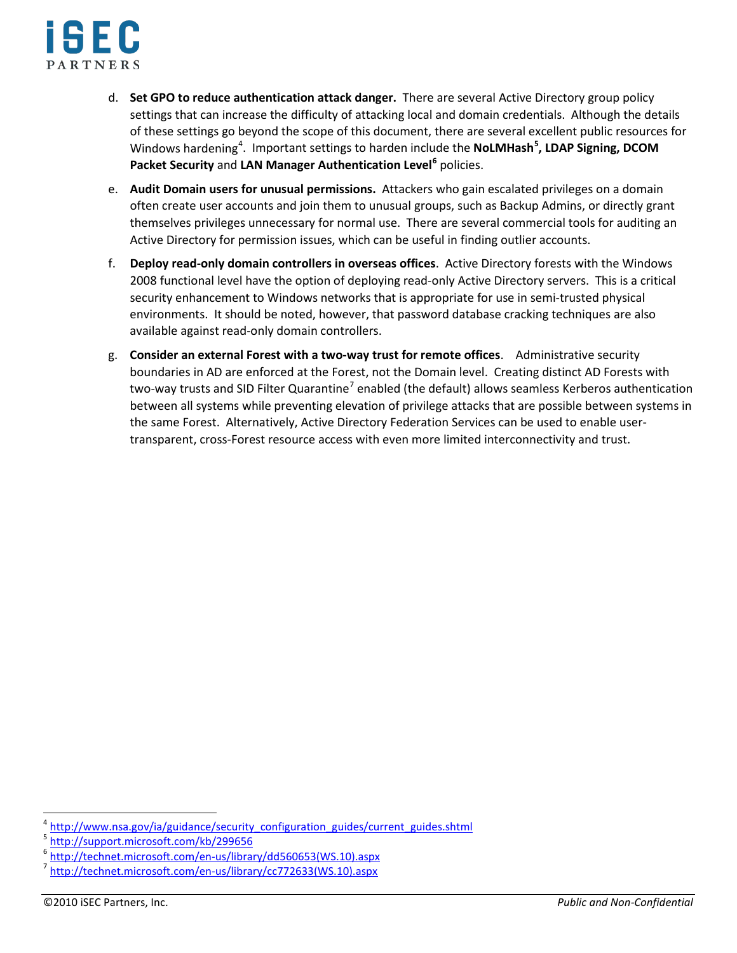

- d. **Set GPO to reduce authentication attack danger.** There are several Active Directory group policy settings that can increase the difficulty of attacking local and domain credentials. Although the details of these settings go beyond the scope of this document, there are several excellent public resources for Windows hardening<sup>[4](#page-4-0)</sup>. Important settings to harden include the NoLMHash<sup>[5](#page-4-1)</sup>, LDAP Signing, DCOM **Packet Security** and **LAN Manager Authentication Level[6](#page-4-2)** policies.
- e. **Audit Domain users for unusual permissions.** Attackers who gain escalated privileges on a domain often create user accounts and join them to unusual groups, such as Backup Admins, or directly grant themselves privileges unnecessary for normal use. There are several commercial tools for auditing an Active Directory for permission issues, which can be useful in finding outlier accounts.
- f. **Deploy read-only domain controllers in overseas offices**. Active Directory forests with the Windows 2008 functional level have the option of deploying read-only Active Directory servers. This is a critical security enhancement to Windows networks that is appropriate for use in semi-trusted physical environments. It should be noted, however, that password database cracking techniques are also available against read-only domain controllers.
- g. **Consider an external Forest with a two-way trust for remote offices**. Administrative security boundaries in AD are enforced at the Forest, not the Domain level. Creating distinct AD Forests with two-way trusts and SID Filter Quarantine<sup>[7](#page-4-3)</sup> enabled (the default) allows seamless Kerberos authentication between all systems while preventing elevation of privilege attacks that are possible between systems in the same Forest. Alternatively, Active Directory Federation Services can be used to enable usertransparent, cross-Forest resource access with even more limited interconnectivity and trust.

<span id="page-4-0"></span>[http://www.nsa.gov/ia/guidance/security\\_configuration\\_guides/current\\_guides.shtml](http://www.nsa.gov/ia/guidance/security_configuration_guides/current_guides.shtml)<br>http://support.microsoft.com/kb/299656

<span id="page-4-1"></span>

<span id="page-4-2"></span><sup>&</sup>lt;sup>6</sup> <u>[http://technet.microsoft.com/en-us/library/dd560653\(WS.10\).aspx](http://technet.microsoft.com/en-us/library/dd560653(WS.10).aspx)</u><br><sup>7</sup> [http://technet.microsoft.com/en-us/library/cc772633\(WS.10\).aspx](http://technet.microsoft.com/en-us/library/cc772633(WS.10).aspx)

<span id="page-4-3"></span>